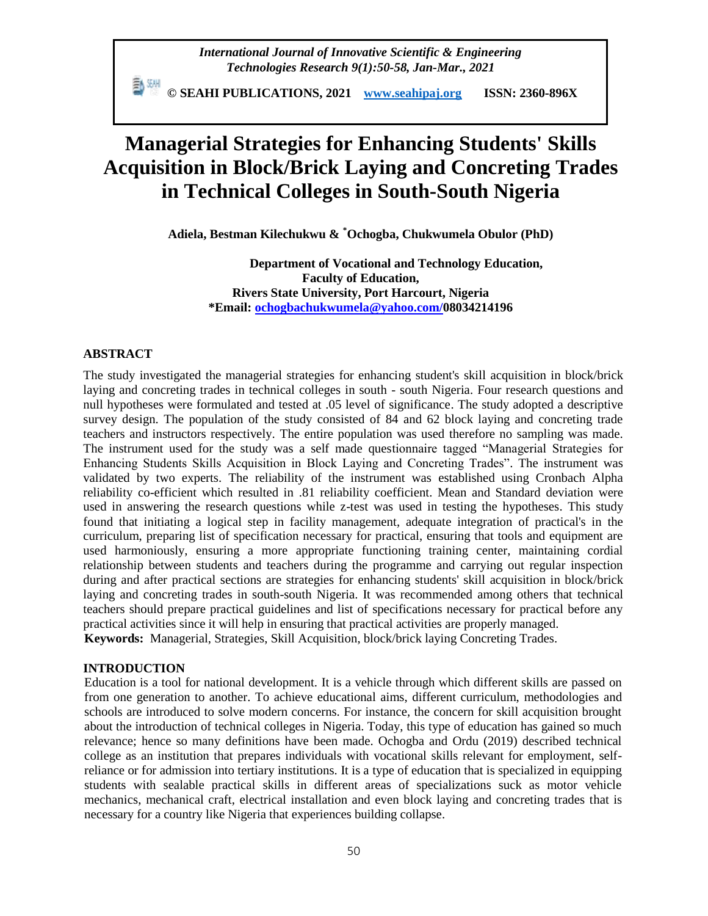*International Journal of Innovative Scientific & Engineering Technologies Research 9(1):50-58, Jan-Mar., 2021*

 **© SEAHI PUBLICATIONS, 2021 [www.seahipaj.org](http://www.seahipaj.org/) ISSN: 2360-896X**

# **Managerial Strategies for Enhancing Students' Skills Acquisition in Block/Brick Laying and Concreting Trades in Technical Colleges in South-South Nigeria**

**Adiela, Bestman Kilechukwu & \*Ochogba, Chukwumela Obulor (PhD)**

**Department of Vocational and Technology Education, Faculty of Education, Rivers State University, Port Harcourt, Nigeria \*Email: [ochogbachukwumela@yahoo.com/](mailto:ochogbachukwumela@yahoo.com)08034214196**

#### **ABSTRACT**

The study investigated the managerial strategies for enhancing student's skill acquisition in block/brick laying and concreting trades in technical colleges in south - south Nigeria. Four research questions and null hypotheses were formulated and tested at .05 level of significance. The study adopted a descriptive survey design. The population of the study consisted of 84 and 62 block laying and concreting trade teachers and instructors respectively. The entire population was used therefore no sampling was made. The instrument used for the study was a self made questionnaire tagged "Managerial Strategies for Enhancing Students Skills Acquisition in Block Laying and Concreting Trades". The instrument was validated by two experts. The reliability of the instrument was established using Cronbach Alpha reliability co-efficient which resulted in .81 reliability coefficient. Mean and Standard deviation were used in answering the research questions while z-test was used in testing the hypotheses. This study found that initiating a logical step in facility management, adequate integration of practical's in the curriculum, preparing list of specification necessary for practical, ensuring that tools and equipment are used harmoniously, ensuring a more appropriate functioning training center, maintaining cordial relationship between students and teachers during the programme and carrying out regular inspection during and after practical sections are strategies for enhancing students' skill acquisition in block/brick laying and concreting trades in south-south Nigeria. It was recommended among others that technical teachers should prepare practical guidelines and list of specifications necessary for practical before any practical activities since it will help in ensuring that practical activities are properly managed.

**Keywords:** Managerial, Strategies, Skill Acquisition, block/brick laying Concreting Trades.

# **INTRODUCTION**

Education is a tool for national development. It is a vehicle through which different skills are passed on from one generation to another. To achieve educational aims, different curriculum, methodologies and schools are introduced to solve modern concerns. For instance, the concern for skill acquisition brought about the introduction of technical colleges in Nigeria. Today, this type of education has gained so much relevance; hence so many definitions have been made. Ochogba and Ordu (2019) described technical college as an institution that prepares individuals with vocational skills relevant for employment, selfreliance or for admission into tertiary institutions. It is a type of education that is specialized in equipping students with sealable practical skills in different areas of specializations suck as motor vehicle mechanics, mechanical craft, electrical installation and even block laying and concreting trades that is necessary for a country like Nigeria that experiences building collapse.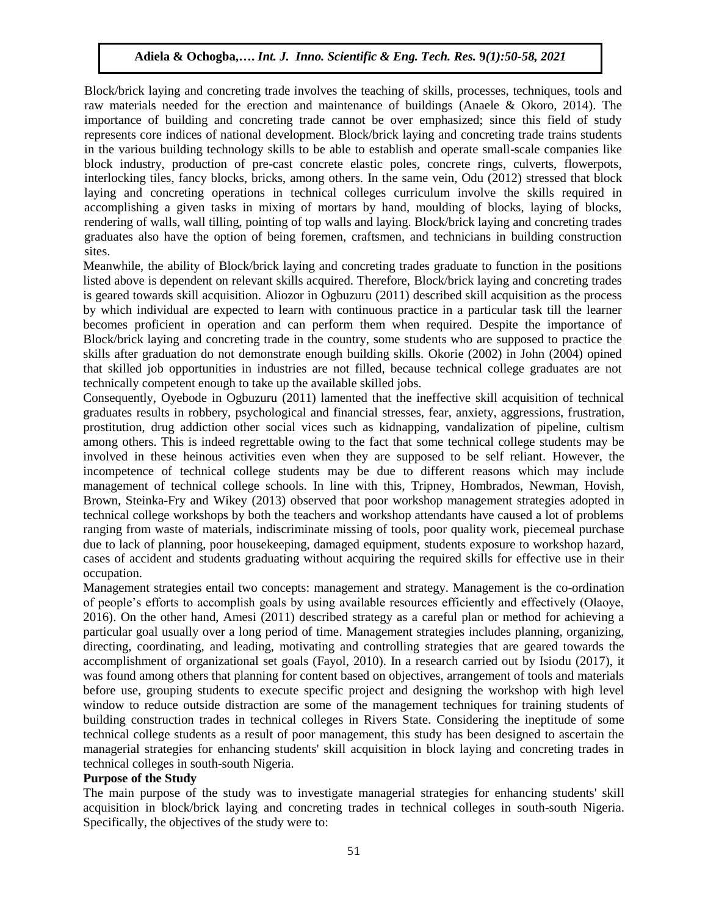Block/brick laying and concreting trade involves the teaching of skills, processes, techniques, tools and raw materials needed for the erection and maintenance of buildings (Anaele & Okoro, 2014). The importance of building and concreting trade cannot be over emphasized; since this field of study represents core indices of national development. Block/brick laying and concreting trade trains students in the various building technology skills to be able to establish and operate small-scale companies like block industry, production of pre-cast concrete elastic poles, concrete rings, culverts, flowerpots, interlocking tiles, fancy blocks, bricks, among others. In the same vein, Odu (2012) stressed that block laying and concreting operations in technical colleges curriculum involve the skills required in accomplishing a given tasks in mixing of mortars by hand, moulding of blocks, laying of blocks, rendering of walls, wall tilling, pointing of top walls and laying. Block/brick laying and concreting trades graduates also have the option of being foremen, craftsmen, and technicians in building construction sites.

Meanwhile, the ability of Block/brick laying and concreting trades graduate to function in the positions listed above is dependent on relevant skills acquired. Therefore, Block/brick laying and concreting trades is geared towards skill acquisition. Aliozor in Ogbuzuru (2011) described skill acquisition as the process by which individual are expected to learn with continuous practice in a particular task till the learner becomes proficient in operation and can perform them when required. Despite the importance of Block/brick laying and concreting trade in the country, some students who are supposed to practice the skills after graduation do not demonstrate enough building skills. Okorie (2002) in John (2004) opined that skilled job opportunities in industries are not filled, because technical college graduates are not technically competent enough to take up the available skilled jobs.

Consequently, Oyebode in Ogbuzuru (2011) lamented that the ineffective skill acquisition of technical graduates results in robbery, psychological and financial stresses, fear, anxiety, aggressions, frustration, prostitution, drug addiction other social vices such as kidnapping, vandalization of pipeline, cultism among others. This is indeed regrettable owing to the fact that some technical college students may be involved in these heinous activities even when they are supposed to be self reliant. However, the incompetence of technical college students may be due to different reasons which may include management of technical college schools. In line with this, Tripney, Hombrados, Newman, Hovish, Brown, Steinka-Fry and Wikey (2013) observed that poor workshop management strategies adopted in technical college workshops by both the teachers and workshop attendants have caused a lot of problems ranging from waste of materials, indiscriminate missing of tools, poor quality work, piecemeal purchase due to lack of planning, poor housekeeping, damaged equipment, students exposure to workshop hazard, cases of accident and students graduating without acquiring the required skills for effective use in their occupation.

Management strategies entail two concepts: management and strategy. Management is the co-ordination of people's efforts to accomplish goals by using available resources efficiently and effectively (Olaoye, 2016). On the other hand, Amesi (2011) described strategy as a careful plan or method for achieving a particular goal usually over a long period of time. Management strategies includes planning, organizing, directing, coordinating, and leading, motivating and controlling strategies that are geared towards the accomplishment of organizational set goals (Fayol, 2010). In a research carried out by Isiodu (2017), it was found among others that planning for content based on objectives, arrangement of tools and materials before use, grouping students to execute specific project and designing the workshop with high level window to reduce outside distraction are some of the management techniques for training students of building construction trades in technical colleges in Rivers State. Considering the ineptitude of some technical college students as a result of poor management, this study has been designed to ascertain the managerial strategies for enhancing students' skill acquisition in block laying and concreting trades in technical colleges in south-south Nigeria.

### **Purpose of the Study**

The main purpose of the study was to investigate managerial strategies for enhancing students' skill acquisition in block/brick laying and concreting trades in technical colleges in south-south Nigeria. Specifically, the objectives of the study were to: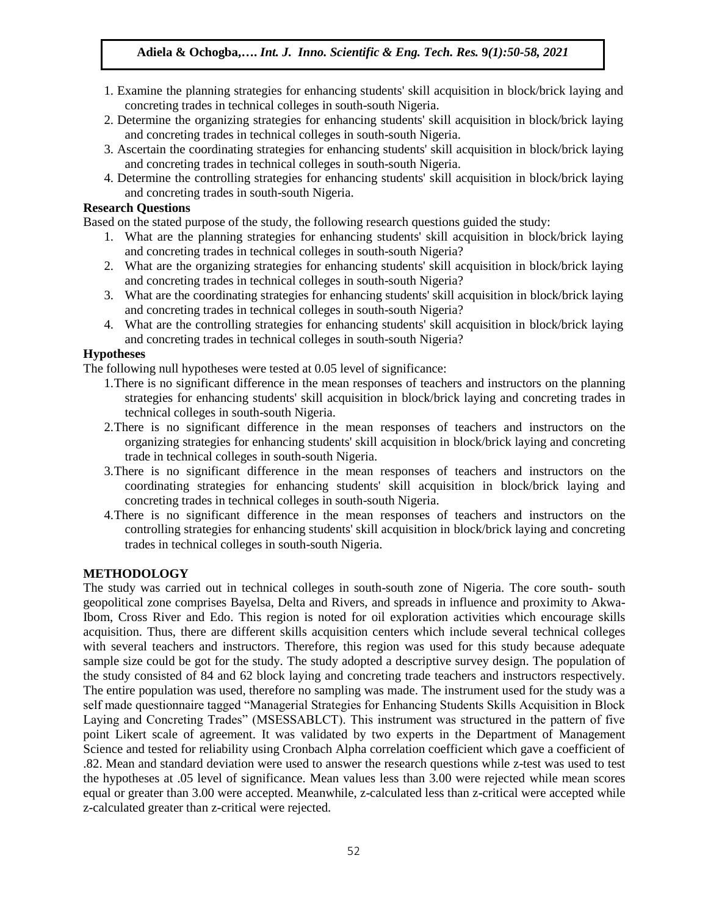- 1. Examine the planning strategies for enhancing students' skill acquisition in block/brick laying and concreting trades in technical colleges in south-south Nigeria.
- 2. Determine the organizing strategies for enhancing students' skill acquisition in block/brick laying and concreting trades in technical colleges in south-south Nigeria.
- 3. Ascertain the coordinating strategies for enhancing students' skill acquisition in block/brick laying and concreting trades in technical colleges in south-south Nigeria.
- 4. Determine the controlling strategies for enhancing students' skill acquisition in block/brick laying and concreting trades in south-south Nigeria.

#### **Research Questions**

Based on the stated purpose of the study, the following research questions guided the study:

- 1. What are the planning strategies for enhancing students' skill acquisition in block/brick laying and concreting trades in technical colleges in south-south Nigeria?
- 2. What are the organizing strategies for enhancing students' skill acquisition in block/brick laying and concreting trades in technical colleges in south-south Nigeria?
- 3. What are the coordinating strategies for enhancing students' skill acquisition in block/brick laying and concreting trades in technical colleges in south-south Nigeria?
- 4. What are the controlling strategies for enhancing students' skill acquisition in block/brick laying and concreting trades in technical colleges in south-south Nigeria?

### **Hypotheses**

The following null hypotheses were tested at 0.05 level of significance:

- 1.There is no significant difference in the mean responses of teachers and instructors on the planning strategies for enhancing students' skill acquisition in block/brick laying and concreting trades in technical colleges in south-south Nigeria.
- 2.There is no significant difference in the mean responses of teachers and instructors on the organizing strategies for enhancing students' skill acquisition in block/brick laying and concreting trade in technical colleges in south-south Nigeria.
- 3.There is no significant difference in the mean responses of teachers and instructors on the coordinating strategies for enhancing students' skill acquisition in block/brick laying and concreting trades in technical colleges in south-south Nigeria.
- 4.There is no significant difference in the mean responses of teachers and instructors on the controlling strategies for enhancing students' skill acquisition in block/brick laying and concreting trades in technical colleges in south-south Nigeria.

### **METHODOLOGY**

The study was carried out in technical colleges in south-south zone of Nigeria. The core south- south geopolitical zone comprises Bayelsa, Delta and Rivers, and spreads in influence and proximity to Akwa-Ibom, Cross River and Edo. This region is noted for oil exploration activities which encourage skills acquisition. Thus, there are different skills acquisition centers which include several technical colleges with several teachers and instructors. Therefore, this region was used for this study because adequate sample size could be got for the study. The study adopted a descriptive survey design. The population of the study consisted of 84 and 62 block laying and concreting trade teachers and instructors respectively. The entire population was used, therefore no sampling was made. The instrument used for the study was a self made questionnaire tagged "Managerial Strategies for Enhancing Students Skills Acquisition in Block Laying and Concreting Trades" (MSESSABLCT). This instrument was structured in the pattern of five point Likert scale of agreement. It was validated by two experts in the Department of Management Science and tested for reliability using Cronbach Alpha correlation coefficient which gave a coefficient of .82. Mean and standard deviation were used to answer the research questions while z-test was used to test the hypotheses at .05 level of significance. Mean values less than 3.00 were rejected while mean scores equal or greater than 3.00 were accepted. Meanwhile, z-calculated less than z-critical were accepted while z-calculated greater than z-critical were rejected.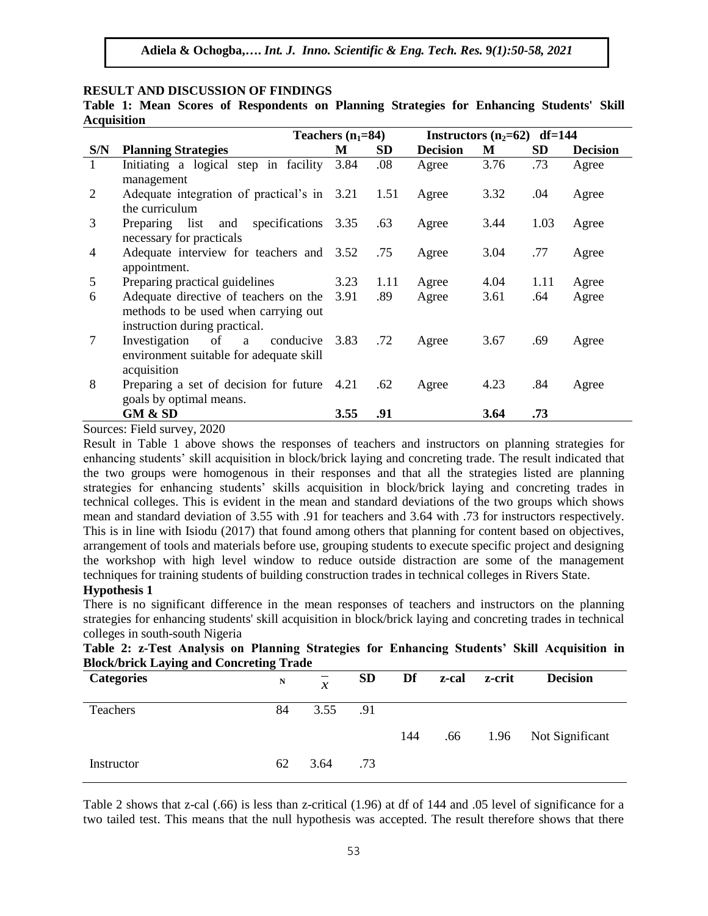# **RESULT AND DISCUSSION OF FINDINGS**

**Table 1: Mean Scores of Respondents on Planning Strategies for Enhancing Students' Skill Acquisition** 

|              |                                             | Teachers $(n_1=84)$ |           | Instructors $(n_2=62)$ df=144 |      |           |                 |
|--------------|---------------------------------------------|---------------------|-----------|-------------------------------|------|-----------|-----------------|
| S/N          | <b>Planning Strategies</b>                  | М                   | <b>SD</b> | <b>Decision</b>               | M    | <b>SD</b> | <b>Decision</b> |
| $\mathbf{1}$ | Initiating a logical step in facility       | 3.84                | .08       | Agree                         | 3.76 | .73       | Agree           |
|              | management                                  |                     |           |                               |      |           |                 |
| 2            | Adequate integration of practical's in 3.21 |                     | 1.51      | Agree                         | 3.32 | .04       | Agree           |
|              | the curriculum                              |                     |           |                               |      |           |                 |
| 3            | Preparing list<br>specifications<br>and     | 3.35                | .63       | Agree                         | 3.44 | 1.03      | Agree           |
|              | necessary for practicals                    |                     |           |                               |      |           |                 |
| 4            | Adequate interview for teachers and 3.52    |                     | .75       | Agree                         | 3.04 | .77       | Agree           |
|              | appointment.                                |                     |           |                               |      |           |                 |
| 5            | Preparing practical guidelines              | 3.23                | 1.11      | Agree                         | 4.04 | 1.11      | Agree           |
| 6            | Adequate directive of teachers on the       | 3.91                | .89       | Agree                         | 3.61 | .64       | Agree           |
|              | methods to be used when carrying out        |                     |           |                               |      |           |                 |
|              | instruction during practical.               |                     |           |                               |      |           |                 |
| 7            | Investigation<br>of<br>conducive<br>a       | 3.83                | .72       | Agree                         | 3.67 | .69       | Agree           |
|              | environment suitable for adequate skill     |                     |           |                               |      |           |                 |
|              | acquisition                                 |                     |           |                               |      |           |                 |
| 8            | Preparing a set of decision for future      | 4.21                | .62       | Agree                         | 4.23 | .84       | Agree           |
|              | goals by optimal means.                     |                     |           |                               |      |           |                 |
|              | <b>GM &amp; SD</b>                          | 3.55                | .91       |                               | 3.64 | .73       |                 |

Sources: Field survey, 2020

Result in Table 1 above shows the responses of teachers and instructors on planning strategies for enhancing students' skill acquisition in block/brick laying and concreting trade. The result indicated that the two groups were homogenous in their responses and that all the strategies listed are planning strategies for enhancing students' skills acquisition in block/brick laying and concreting trades in technical colleges. This is evident in the mean and standard deviations of the two groups which shows mean and standard deviation of 3.55 with .91 for teachers and 3.64 with .73 for instructors respectively. This is in line with Isiodu (2017) that found among others that planning for content based on objectives, arrangement of tools and materials before use, grouping students to execute specific project and designing the workshop with high level window to reduce outside distraction are some of the management techniques for training students of building construction trades in technical colleges in Rivers State.

## **Hypothesis 1**

There is no significant difference in the mean responses of teachers and instructors on the planning strategies for enhancing students' skill acquisition in block/brick laying and concreting trades in technical colleges in south-south Nigeria

|                                                |  |  |  |  | Table 2: z-Test Analysis on Planning Strategies for Enhancing Students' Skill Acquisition in |  |
|------------------------------------------------|--|--|--|--|----------------------------------------------------------------------------------------------|--|
| <b>Block/brick Laying and Concreting Trade</b> |  |  |  |  |                                                                                              |  |

| .<br><b>Categories</b> | . .<br>N | $\mathcal{X}$ | <b>SD</b> | Df  |     | z-cal z-crit | <b>Decision</b>      |
|------------------------|----------|---------------|-----------|-----|-----|--------------|----------------------|
| Teachers               | 84       | 3.55          | .91       |     |     |              |                      |
|                        |          |               |           | 144 | .66 |              | 1.96 Not Significant |
| Instructor             | 62       | 3.64          | .73       |     |     |              |                      |

Table 2 shows that z-cal (.66) is less than z-critical (1.96) at df of 144 and .05 level of significance for a two tailed test. This means that the null hypothesis was accepted. The result therefore shows that there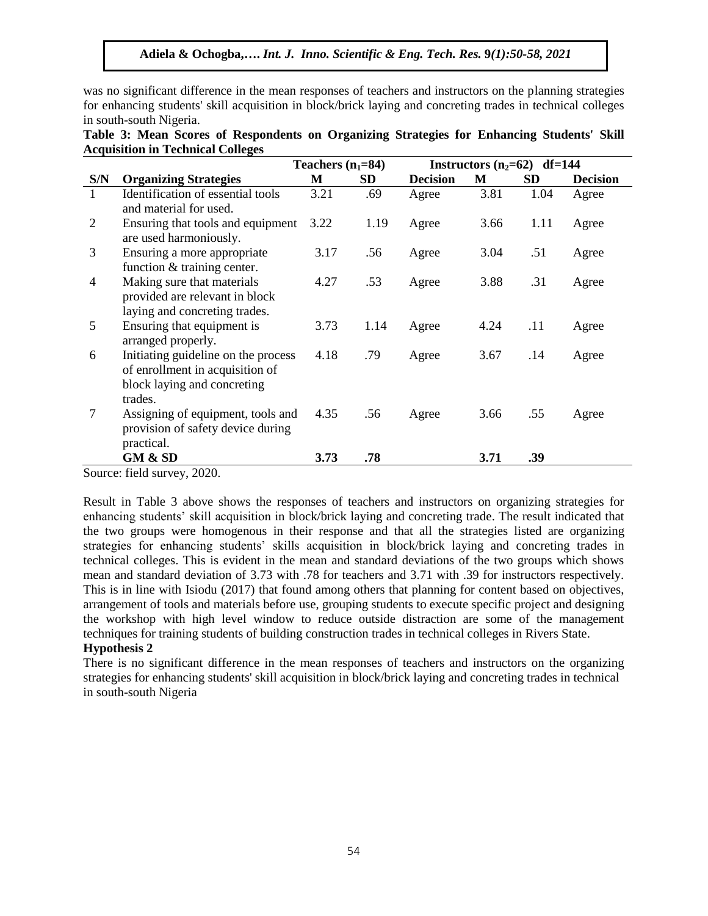was no significant difference in the mean responses of teachers and instructors on the planning strategies for enhancing students' skill acquisition in block/brick laying and concreting trades in technical colleges in south-south Nigeria.

|                |                                                             | Teachers $(n_1=84)$ |           | Instructors $(n_2=62)$ df=144 |      |           |                 |
|----------------|-------------------------------------------------------------|---------------------|-----------|-------------------------------|------|-----------|-----------------|
| S/N            | <b>Organizing Strategies</b>                                | M                   | <b>SD</b> | <b>Decision</b>               | M    | <b>SD</b> | <b>Decision</b> |
| 1              | Identification of essential tools                           | 3.21                | .69       | Agree                         | 3.81 | 1.04      | Agree           |
|                | and material for used.                                      |                     |           |                               |      |           |                 |
| $\overline{2}$ | Ensuring that tools and equipment<br>are used harmoniously. | 3.22                | 1.19      | Agree                         | 3.66 | 1.11      | Agree           |
| 3              | Ensuring a more appropriate                                 | 3.17                | .56       | Agree                         | 3.04 | .51       | Agree           |
|                | function $&$ training center.                               |                     |           |                               |      |           |                 |
| $\overline{4}$ | Making sure that materials                                  | 4.27                | .53       | Agree                         | 3.88 | .31       | Agree           |
|                | provided are relevant in block                              |                     |           |                               |      |           |                 |
|                | laying and concreting trades.                               |                     |           |                               |      |           |                 |
| 5              | Ensuring that equipment is                                  | 3.73                | 1.14      | Agree                         | 4.24 | .11       | Agree           |
|                | arranged properly.                                          |                     |           |                               |      |           |                 |
| 6              | Initiating guideline on the process                         | 4.18                | .79       | Agree                         | 3.67 | .14       | Agree           |
|                | of enrollment in acquisition of                             |                     |           |                               |      |           |                 |
|                | block laying and concreting                                 |                     |           |                               |      |           |                 |
|                | trades.                                                     |                     |           |                               |      |           |                 |
| 7              | Assigning of equipment, tools and                           | 4.35                | .56       | Agree                         | 3.66 | .55       | Agree           |
|                | provision of safety device during                           |                     |           |                               |      |           |                 |
|                | practical.                                                  |                     |           |                               |      |           |                 |
|                | GM & SD                                                     | 3.73                | .78       |                               | 3.71 | .39       |                 |

| Table 3: Mean Scores of Respondents on Organizing Strategies for Enhancing Students' Skill |  |  |  |  |
|--------------------------------------------------------------------------------------------|--|--|--|--|
| <b>Acquisition in Technical Colleges</b>                                                   |  |  |  |  |

Source: field survey, 2020.

Result in Table 3 above shows the responses of teachers and instructors on organizing strategies for enhancing students' skill acquisition in block/brick laying and concreting trade. The result indicated that the two groups were homogenous in their response and that all the strategies listed are organizing strategies for enhancing students' skills acquisition in block/brick laying and concreting trades in technical colleges. This is evident in the mean and standard deviations of the two groups which shows mean and standard deviation of 3.73 with .78 for teachers and 3.71 with .39 for instructors respectively. This is in line with Isiodu (2017) that found among others that planning for content based on objectives, arrangement of tools and materials before use, grouping students to execute specific project and designing the workshop with high level window to reduce outside distraction are some of the management techniques for training students of building construction trades in technical colleges in Rivers State.

#### **Hypothesis 2**

There is no significant difference in the mean responses of teachers and instructors on the organizing strategies for enhancing students' skill acquisition in block/brick laying and concreting trades in technical in south-south Nigeria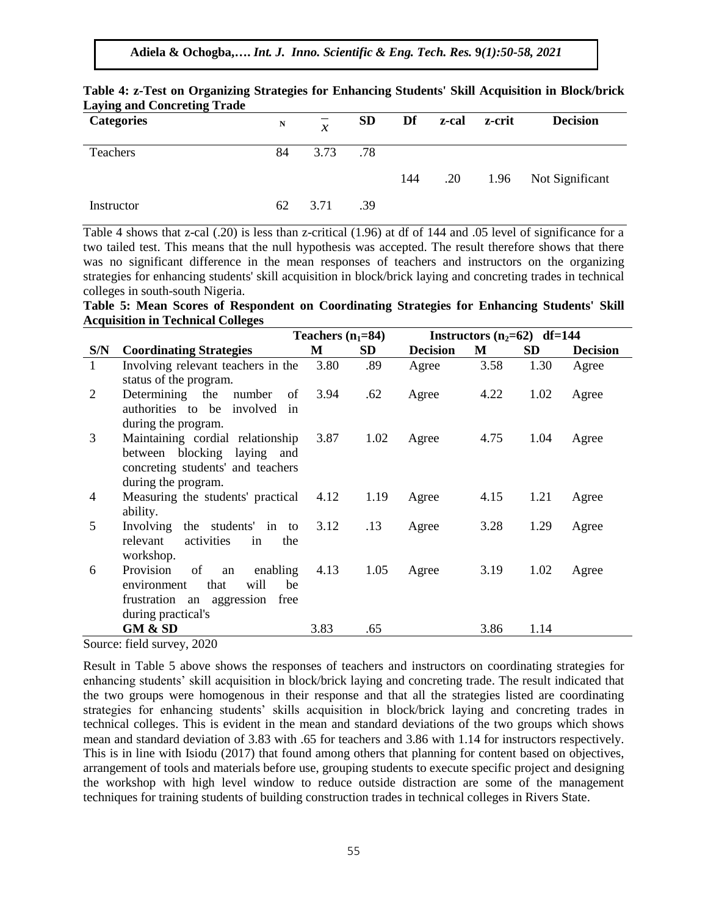**Adiela & Ochogba,….** *Int. J. Inno. Scientific & Eng. Tech. Res.* **9***(1):50-58, 2021*

| Laying and Concreting Trade<br><b>Categories</b> | N  | $\mathcal{X}$ | <b>SD</b> | Df  | z-cal | z-crit | <b>Decision</b>      |
|--------------------------------------------------|----|---------------|-----------|-----|-------|--------|----------------------|
| Teachers                                         | 84 | 3.73          | .78       |     |       |        |                      |
|                                                  |    |               |           | 144 | .20   |        | 1.96 Not Significant |
| Instructor                                       | 62 | 3.71          | .39       |     |       |        |                      |

#### **Table 4: z-Test on Organizing Strategies for Enhancing Students' Skill Acquisition in Block/brick Laying and Concreting Trade**

Table 4 shows that z-cal (.20) is less than z-critical (1.96) at df of 144 and .05 level of significance for a two tailed test. This means that the null hypothesis was accepted. The result therefore shows that there was no significant difference in the mean responses of teachers and instructors on the organizing strategies for enhancing students' skill acquisition in block/brick laying and concreting trades in technical colleges in south-south Nigeria.

|                                          |  |  | Table 5: Mean Scores of Respondent on Coordinating Strategies for Enhancing Students' Skill |  |  |  |
|------------------------------------------|--|--|---------------------------------------------------------------------------------------------|--|--|--|
| <b>Acquisition in Technical Colleges</b> |  |  |                                                                                             |  |  |  |

|     |                                        | Teachers $(n_1=84)$ |      | Instructors $(n_2=62)$ df=144 |      |           |                 |  |
|-----|----------------------------------------|---------------------|------|-------------------------------|------|-----------|-----------------|--|
| S/N | <b>Coordinating Strategies</b>         | M                   | SD   | <b>Decision</b>               | M    | <b>SD</b> | <b>Decision</b> |  |
| 1   | Involving relevant teachers in the     | 3.80                | .89  | Agree                         | 3.58 | 1.30      | Agree           |  |
|     | status of the program.                 |                     |      |                               |      |           |                 |  |
| 2   | Determining the<br>number<br>of        | 3.94                | .62  | Agree                         | 4.22 | 1.02      | Agree           |  |
|     | authorities to be involved<br>in       |                     |      |                               |      |           |                 |  |
|     | during the program.                    |                     |      |                               |      |           |                 |  |
| 3   | Maintaining cordial relationship       | 3.87                | 1.02 | Agree                         | 4.75 | 1.04      | Agree           |  |
|     | between blocking laying and            |                     |      |                               |      |           |                 |  |
|     | concreting students' and teachers      |                     |      |                               |      |           |                 |  |
|     | during the program.                    |                     |      |                               |      |           |                 |  |
| 4   | Measuring the students' practical      | 4.12                | 1.19 | Agree                         | 4.15 | 1.21      | Agree           |  |
|     | ability.                               |                     |      |                               |      |           |                 |  |
| 5   | Involving<br>the students' in to       | 3.12                | .13  | Agree                         | 3.28 | 1.29      | Agree           |  |
|     | activities<br>relevant<br>in<br>the    |                     |      |                               |      |           |                 |  |
|     | workshop.                              |                     |      |                               |      |           |                 |  |
| 6   | Provision<br>of<br>enabling<br>an      | 4.13                | 1.05 | Agree                         | 3.19 | 1.02      | Agree           |  |
|     | will<br>that<br>environment<br>be      |                     |      |                               |      |           |                 |  |
|     | frustration an aggression<br>free      |                     |      |                               |      |           |                 |  |
|     | during practical's                     |                     |      |                               |      |           |                 |  |
|     | GM & SD<br>$C = 1, 1$<br>$\sim$ $\sim$ | 3.83                | .65  |                               | 3.86 | 1.14      |                 |  |

Source: field survey, 2020

Result in Table 5 above shows the responses of teachers and instructors on coordinating strategies for enhancing students' skill acquisition in block/brick laying and concreting trade. The result indicated that the two groups were homogenous in their response and that all the strategies listed are coordinating strategies for enhancing students' skills acquisition in block/brick laying and concreting trades in technical colleges. This is evident in the mean and standard deviations of the two groups which shows mean and standard deviation of 3.83 with .65 for teachers and 3.86 with 1.14 for instructors respectively. This is in line with Isiodu (2017) that found among others that planning for content based on objectives, arrangement of tools and materials before use, grouping students to execute specific project and designing the workshop with high level window to reduce outside distraction are some of the management techniques for training students of building construction trades in technical colleges in Rivers State.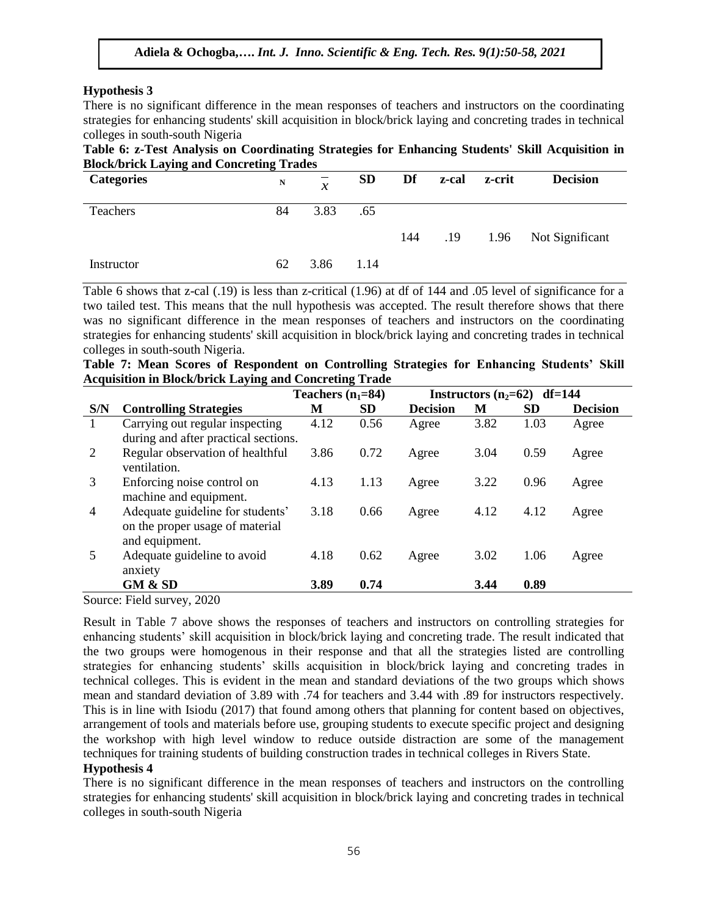# **Hypothesis 3**

There is no significant difference in the mean responses of teachers and instructors on the coordinating strategies for enhancing students' skill acquisition in block/brick laying and concreting trades in technical colleges in south-south Nigeria

# **Table 6: z-Test Analysis on Coordinating Strategies for Enhancing Students' Skill Acquisition in Block/brick Laying and Concreting Trades**

| <b>Categories</b> | N  | $\mathcal{X}$ | <b>SD</b> | Df  |     | z-cal z-crit | <b>Decision</b>      |
|-------------------|----|---------------|-----------|-----|-----|--------------|----------------------|
| <b>Teachers</b>   | 84 | 3.83          | .65       |     |     |              |                      |
|                   |    |               |           | 144 | .19 |              | 1.96 Not Significant |
| Instructor        | 62 | 3.86          | 1.14      |     |     |              |                      |

Table 6 shows that z-cal (.19) is less than z-critical (1.96) at df of 144 and .05 level of significance for a two tailed test. This means that the null hypothesis was accepted. The result therefore shows that there was no significant difference in the mean responses of teachers and instructors on the coordinating strategies for enhancing students' skill acquisition in block/brick laying and concreting trades in technical colleges in south-south Nigeria.

|  |  |  |  | Table 7: Mean Scores of Respondent on Controlling Strategies for Enhancing Students' Skill |  |  |  |
|--|--|--|--|--------------------------------------------------------------------------------------------|--|--|--|
|  |  |  |  | <b>Acquisition in Block/brick Laying and Concreting Trade</b>                              |  |  |  |

|     |                                      | Teachers $(n_1=84)$ |           |                 | Instructors $(n_2=62)$ df=144 |           |                 |  |
|-----|--------------------------------------|---------------------|-----------|-----------------|-------------------------------|-----------|-----------------|--|
| S/N | <b>Controlling Strategies</b>        | М                   | <b>SD</b> | <b>Decision</b> | М                             | <b>SD</b> | <b>Decision</b> |  |
| 1   | Carrying out regular inspecting      | 4.12                | 0.56      | Agree           | 3.82                          | 1.03      | Agree           |  |
|     | during and after practical sections. |                     |           |                 |                               |           |                 |  |
| 2   | Regular observation of healthful     | 3.86                | 0.72      | Agree           | 3.04                          | 0.59      | Agree           |  |
|     | ventilation.                         |                     |           |                 |                               |           |                 |  |
| 3   | Enforcing noise control on           | 4.13                | 1.13      | Agree           | 3.22                          | 0.96      | Agree           |  |
|     | machine and equipment.               |                     |           |                 |                               |           |                 |  |
| 4   | Adequate guideline for students'     | 3.18                | 0.66      | Agree           | 4.12                          | 4.12      | Agree           |  |
|     | on the proper usage of material      |                     |           |                 |                               |           |                 |  |
|     | and equipment.                       |                     |           |                 |                               |           |                 |  |
| 5   | Adequate guideline to avoid          | 4.18                | 0.62      | Agree           | 3.02                          | 1.06      | Agree           |  |
|     | anxiety                              |                     |           |                 |                               |           |                 |  |
|     | GM & SD                              | 3.89                | 0.74      |                 | 3.44                          | 0.89      |                 |  |

Source: Field survey, 2020

Result in Table 7 above shows the responses of teachers and instructors on controlling strategies for enhancing students' skill acquisition in block/brick laying and concreting trade. The result indicated that the two groups were homogenous in their response and that all the strategies listed are controlling strategies for enhancing students' skills acquisition in block/brick laying and concreting trades in technical colleges. This is evident in the mean and standard deviations of the two groups which shows mean and standard deviation of 3.89 with .74 for teachers and 3.44 with .89 for instructors respectively. This is in line with Isiodu (2017) that found among others that planning for content based on objectives, arrangement of tools and materials before use, grouping students to execute specific project and designing the workshop with high level window to reduce outside distraction are some of the management techniques for training students of building construction trades in technical colleges in Rivers State.

# **Hypothesis 4**

There is no significant difference in the mean responses of teachers and instructors on the controlling strategies for enhancing students' skill acquisition in block/brick laying and concreting trades in technical colleges in south-south Nigeria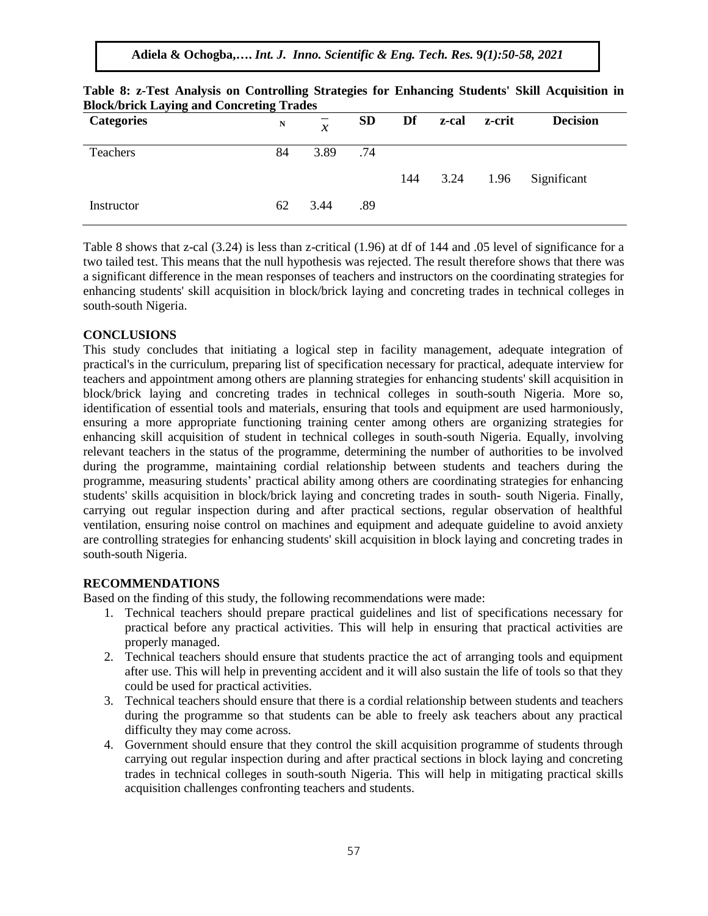**Adiela & Ochogba,….** *Int. J. Inno. Scientific & Eng. Tech. Res.* **9***(1):50-58, 2021*

| <b>Categories</b> | -<br>N | $\mathcal{X}$ | <b>SD</b> | Df  | z-cal z-crit | <b>Decision</b>       |
|-------------------|--------|---------------|-----------|-----|--------------|-----------------------|
| Teachers          | 84     | 3.89          | .74       |     |              |                       |
|                   |        |               |           | 144 |              | 3.24 1.96 Significant |
| Instructor        | 62     | 3.44          | .89       |     |              |                       |

| Table 8: z-Test Analysis on Controlling Strategies for Enhancing Students' Skill Acquisition in |  |  |  |  |  |  |  |  |  |
|-------------------------------------------------------------------------------------------------|--|--|--|--|--|--|--|--|--|
| <b>Block/brick Laying and Concreting Trades</b>                                                 |  |  |  |  |  |  |  |  |  |

Table 8 shows that z-cal (3.24) is less than z-critical (1.96) at df of 144 and .05 level of significance for a two tailed test. This means that the null hypothesis was rejected. The result therefore shows that there was a significant difference in the mean responses of teachers and instructors on the coordinating strategies for enhancing students' skill acquisition in block/brick laying and concreting trades in technical colleges in south-south Nigeria.

### **CONCLUSIONS**

This study concludes that initiating a logical step in facility management, adequate integration of practical's in the curriculum, preparing list of specification necessary for practical, adequate interview for teachers and appointment among others are planning strategies for enhancing students' skill acquisition in block/brick laying and concreting trades in technical colleges in south-south Nigeria. More so, identification of essential tools and materials, ensuring that tools and equipment are used harmoniously, ensuring a more appropriate functioning training center among others are organizing strategies for enhancing skill acquisition of student in technical colleges in south-south Nigeria. Equally, involving relevant teachers in the status of the programme, determining the number of authorities to be involved during the programme, maintaining cordial relationship between students and teachers during the programme, measuring students' practical ability among others are coordinating strategies for enhancing students' skills acquisition in block/brick laying and concreting trades in south- south Nigeria. Finally, carrying out regular inspection during and after practical sections, regular observation of healthful ventilation, ensuring noise control on machines and equipment and adequate guideline to avoid anxiety are controlling strategies for enhancing students' skill acquisition in block laying and concreting trades in south-south Nigeria.

#### **RECOMMENDATIONS**

Based on the finding of this study, the following recommendations were made:

- 1. Technical teachers should prepare practical guidelines and list of specifications necessary for practical before any practical activities. This will help in ensuring that practical activities are properly managed.
- 2. Technical teachers should ensure that students practice the act of arranging tools and equipment after use. This will help in preventing accident and it will also sustain the life of tools so that they could be used for practical activities.
- 3. Technical teachers should ensure that there is a cordial relationship between students and teachers during the programme so that students can be able to freely ask teachers about any practical difficulty they may come across.
- 4. Government should ensure that they control the skill acquisition programme of students through carrying out regular inspection during and after practical sections in block laying and concreting trades in technical colleges in south-south Nigeria. This will help in mitigating practical skills acquisition challenges confronting teachers and students.